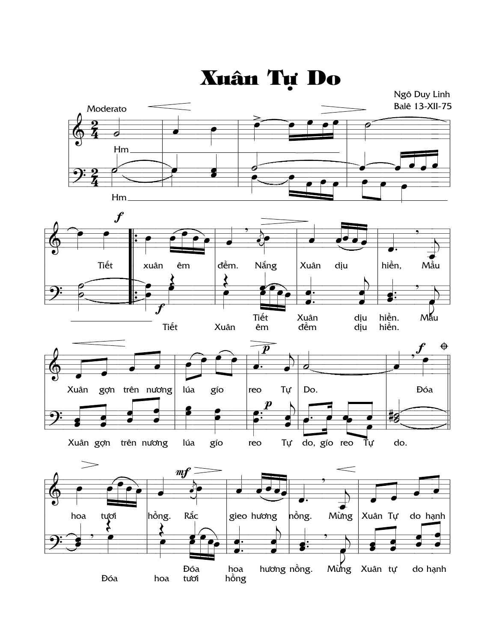

**Đóa** hoa hương nồng. Mùng Xuân tự do hạnh Đóa hoa tươi hồng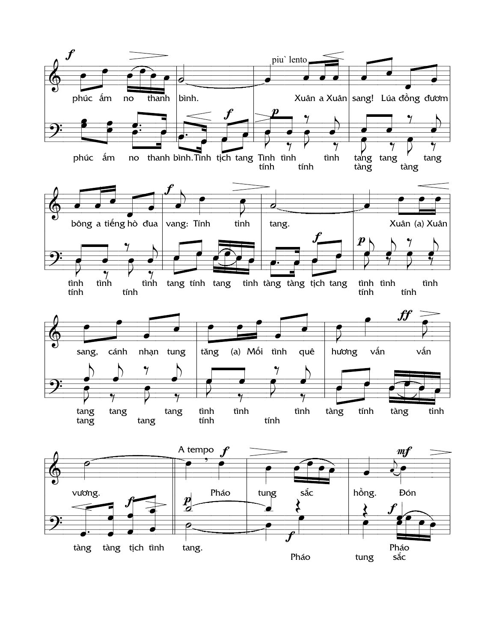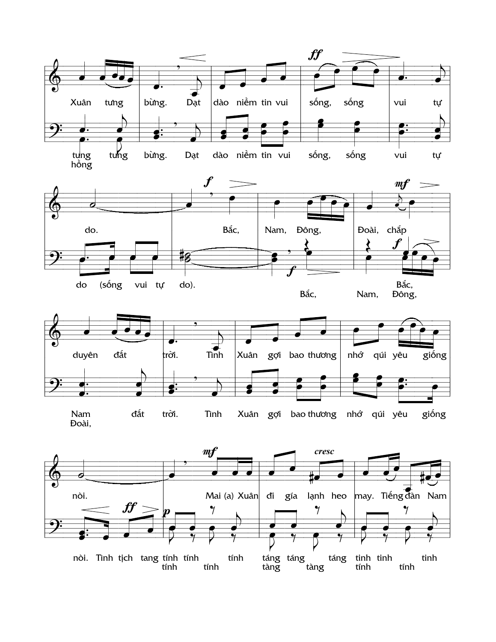









Nam đất trời. Tình giống Xuân gợi bao thương nhớ qúi yêu Đoài,